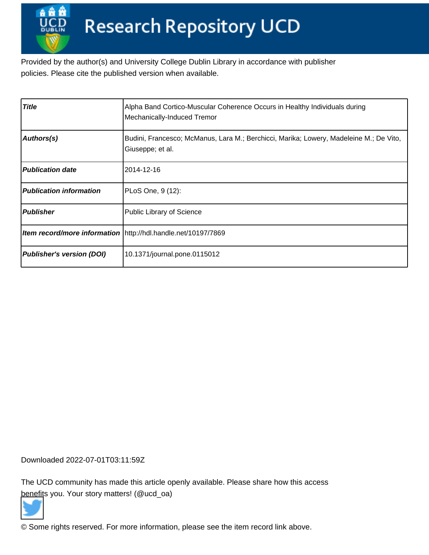Provided by the author(s) and University College Dublin Library in accordance with publisher policies. Please cite the published version when available.

| <b>Title</b>                     | Alpha Band Cortico-Muscular Coherence Occurs in Healthy Individuals during<br>Mechanically-Induced Tremor  |
|----------------------------------|------------------------------------------------------------------------------------------------------------|
| Authors(s)                       | Budini, Francesco; McManus, Lara M.; Berchicci, Marika; Lowery, Madeleine M.; De Vito,<br>Giuseppe; et al. |
| <b>Publication date</b>          | 2014-12-16                                                                                                 |
| <b>Publication information</b>   | PLoS One, 9 (12):                                                                                          |
| Publisher                        | Public Library of Science                                                                                  |
|                                  | Item record/more information http://hdl.handle.net/10197/7869                                              |
| <b>Publisher's version (DOI)</b> | 10.1371/journal.pone.0115012                                                                               |

Downloaded 2022-07-01T03:11:59Z

The UCD community has made this article openly available. Please share how this access [benefit](https://twitter.com/intent/tweet?via=ucd_oa&text=DOI%3A10.1371%2Fjournal.pone.0115012&url=http%3A%2F%2Fhdl.handle.net%2F10197%2F7869)s you. Your story matters! (@ucd\_oa)



© Some rights reserved. For more information, please see the item record link above.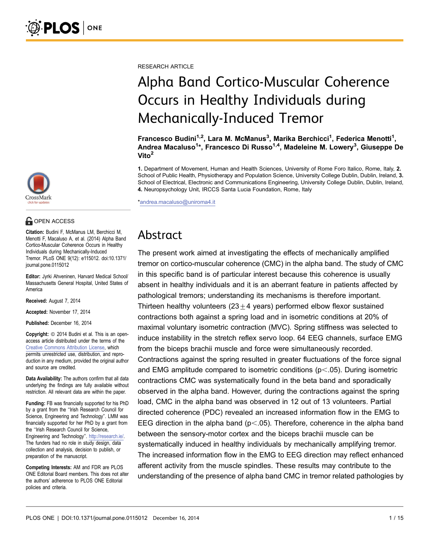RESEARCH ARTICLE

# Alpha Band Cortico-Muscular Coherence Occurs in Healthy Individuals during Mechanically-Induced Tremor

Francesco Budini<sup>1,2</sup>, Lara M. McManus<sup>3</sup>, Marika Berchicci<sup>1</sup>, Federica Menotti<sup>1</sup>, Andrea Macaluso<sup>1</sup>\*, Francesco Di Russo<sup>1,4</sup>, Madeleine M. Lowery<sup>3</sup>, Giuseppe De Vito<sup>2</sup>

1. Department of Movement, Human and Health Sciences, University of Rome Foro Italico, Rome, Italy, 2. School of Public Health, Physiotherapy and Population Science, University College Dublin, Dublin, Ireland, 3. School of Electrical, Electronic and Communications Engineering, University College Dublin, Dublin, Ireland, 4. Neuropsychology Unit, IRCCS Santa Lucia Foundation, Rome, Italy

\*andrea.macaluso@uniroma4.it

# Abstract

The present work aimed at investigating the effects of mechanically amplified tremor on cortico-muscular coherence (CMC) in the alpha band. The study of CMC in this specific band is of particular interest because this coherence is usually absent in healthy individuals and it is an aberrant feature in patients affected by pathological tremors; understanding its mechanisms is therefore important. Thirteen healthy volunteers (23 $\pm$ 4 years) performed elbow flexor sustained contractions both against a spring load and in isometric conditions at 20% of maximal voluntary isometric contraction (MVC). Spring stiffness was selected to induce instability in the stretch reflex servo loop. 64 EEG channels, surface EMG from the biceps brachii muscle and force were simultaneously recorded. Contractions against the spring resulted in greater fluctuations of the force signal and EMG amplitude compared to isometric conditions ( $p<.05$ ). During isometric contractions CMC was systematically found in the beta band and sporadically observed in the alpha band. However, during the contractions against the spring load, CMC in the alpha band was observed in 12 out of 13 volunteers. Partial directed coherence (PDC) revealed an increased information flow in the EMG to EEG direction in the alpha band ( $p<.05$ ). Therefore, coherence in the alpha band between the sensory-motor cortex and the biceps brachii muscle can be systematically induced in healthy individuals by mechanically amplifying tremor. The increased information flow in the EMG to EEG direction may reflect enhanced afferent activity from the muscle spindles. These results may contribute to the understanding of the presence of alpha band CMC in tremor related pathologies by



#### **G** OPEN ACCESS

Citation: Budini F, McManus LM, Berchicci M, Menotti F, Macaluso A, et al. (2014) Alpha Band Cortico-Muscular Coherence Occurs in Healthy Individuals during Mechanically-Induced Tremor. PLoS ONE 9(12): e115012. doi:10.1371/ journal.pone.0115012

Editor: Jyrki Ahveninen, Harvard Medical School/ Massachusetts General Hospital, United States of America

Received: August 7, 2014

Accepted: November 17, 2014

Published: December 16, 2014

**Copyright:** © 2014 Budini et al. This is an openaccess article distributed under the terms of the [Creative Commons Attribution License,](http://creativecommons.org/licenses/by/4.0/) which permits unrestricted use, distribution, and reproduction in any medium, provided the original author and source are credited.

Data Availability: The authors confirm that all data underlying the findings are fully available without restriction. All relevant data are within the paper.

Funding: FB was financially supported for his PhD by a grant from the ''Irish Research Council for Science, Engineering and Technology''. LMM was financially supported for her PhD by a grant from the ''Irish Research Council for Science, Engineering and Technology''. [http://research.ie/.](http://research.ie/) The funders had no role in study design, data collection and analysis, decision to publish, or preparation of the manuscript.

Competing Interests: AM and FDR are PLOS ONE Editorial Board members. This does not alter the authors' adherence to PLOS ONE Editorial policies and criteria.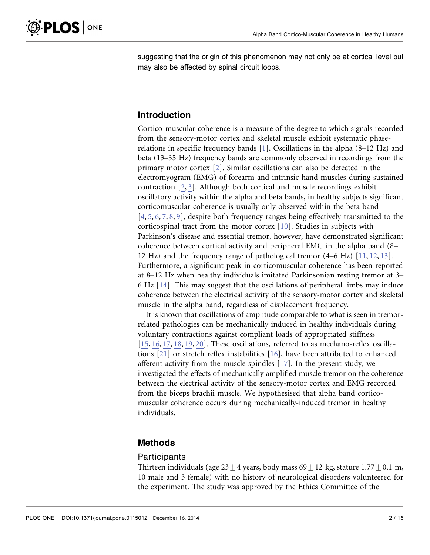suggesting that the origin of this phenomenon may not only be at cortical level but may also be affected by spinal circuit loops.

## Introduction

Cortico-muscular coherence is a measure of the degree to which signals recorded from the sensory-motor cortex and skeletal muscle exhibit systematic phaserelations in specific frequency bands [1]. Oscillations in the alpha (8–12 Hz) and beta (13–35 Hz) frequency bands are commonly observed in recordings from the primary motor cortex [2]. Similar oscillations can also be detected in the electromyogram (EMG) of forearm and intrinsic hand muscles during sustained contraction [2, 3]. Although both cortical and muscle recordings exhibit oscillatory activity within the alpha and beta bands, in healthy subjects significant corticomuscular coherence is usually only observed within the beta band [4, 5, 6, 7, 8, 9], despite both frequency ranges being effectively transmitted to the corticospinal tract from the motor cortex [10]. Studies in subjects with Parkinson's disease and essential tremor, however, have demonstrated significant coherence between cortical activity and peripheral EMG in the alpha band (8– 12 Hz) and the frequency range of pathological tremor (4–6 Hz) [11, 12, 13]. Furthermore, a significant peak in corticomuscular coherence has been reported at 8–12 Hz when healthy individuals imitated Parkinsonian resting tremor at 3– 6 Hz [14]. This may suggest that the oscillations of peripheral limbs may induce coherence between the electrical activity of the sensory-motor cortex and skeletal muscle in the alpha band, regardless of displacement frequency.

It is known that oscillations of amplitude comparable to what is seen in tremorrelated pathologies can be mechanically induced in healthy individuals during voluntary contractions against compliant loads of appropriated stiffness [15, 16, 17, 18, 19, 20]. These oscillations, referred to as mechano-reflex oscillations [21] or stretch reflex instabilities [16], have been attributed to enhanced afferent activity from the muscle spindles [17]. In the present study, we investigated the effects of mechanically amplified muscle tremor on the coherence between the electrical activity of the sensory-motor cortex and EMG recorded from the biceps brachii muscle. We hypothesised that alpha band corticomuscular coherence occurs during mechanically-induced tremor in healthy individuals.

### Methods

#### Participants

Thirteen individuals (age  $23+4$  years, body mass  $69+12$  kg, stature 1.77 + 0.1 m, 10 male and 3 female) with no history of neurological disorders volunteered for the experiment. The study was approved by the Ethics Committee of the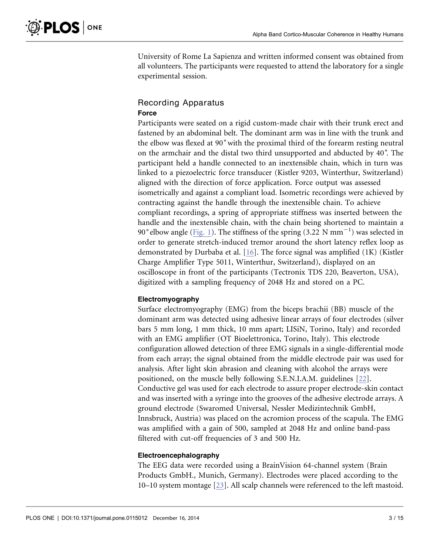University of Rome La Sapienza and written informed consent was obtained from all volunteers. The participants were requested to attend the laboratory for a single experimental session.

#### Recording Apparatus Force

Participants were seated on a rigid custom-made chair with their trunk erect and fastened by an abdominal belt. The dominant arm was in line with the trunk and the elbow was flexed at 90˚with the proximal third of the forearm resting neutral on the armchair and the distal two third unsupported and abducted by 40˚. The participant held a handle connected to an inextensible chain, which in turn was linked to a piezoelectric force transducer (Kistler 9203, Winterthur, Switzerland) aligned with the direction of force application. Force output was assessed isometrically and against a compliant load. Isometric recordings were achieved by contracting against the handle through the inextensible chain. To achieve compliant recordings, a spring of appropriate stiffness was inserted between the handle and the inextensible chain, with the chain being shortened to maintain a 90° elbow angle (Fig. 1). The stiffness of the spring (3.22 N  $\mathrm{mm}^{-1})$  was selected in order to generate stretch-induced tremor around the short latency reflex loop as demonstrated by Durbaba et al. [16]. The force signal was amplified (1K) (Kistler Charge Amplifier Type 5011, Winterthur, Switzerland), displayed on an oscilloscope in front of the participants (Tectronix TDS 220, Beaverton, USA), digitized with a sampling frequency of 2048 Hz and stored on a PC.

#### Electromyography

Surface electromyography (EMG) from the biceps brachii (BB) muscle of the dominant arm was detected using adhesive linear arrays of four electrodes (silver bars 5 mm long, 1 mm thick, 10 mm apart; LISiN, Torino, Italy) and recorded with an EMG amplifier (OT Bioelettronica, Torino, Italy). This electrode configuration allowed detection of three EMG signals in a single-differential mode from each array; the signal obtained from the middle electrode pair was used for analysis. After light skin abrasion and cleaning with alcohol the arrays were positioned, on the muscle belly following S.E.N.I.A.M. guidelines [22]. Conductive gel was used for each electrode to assure proper electrode-skin contact and was inserted with a syringe into the grooves of the adhesive electrode arrays. A ground electrode (Swaromed Universal, Nessler Medizintechnik GmbH, Innsbruck, Austria) was placed on the acromion process of the scapula. The EMG was amplified with a gain of 500, sampled at 2048 Hz and online band-pass filtered with cut-off frequencies of 3 and 500 Hz.

#### Electroencephalography

The EEG data were recorded using a BrainVision 64-channel system (Brain Products GmbH., Munich, Germany). Electrodes were placed according to the 10–10 system montage [23]. All scalp channels were referenced to the left mastoid.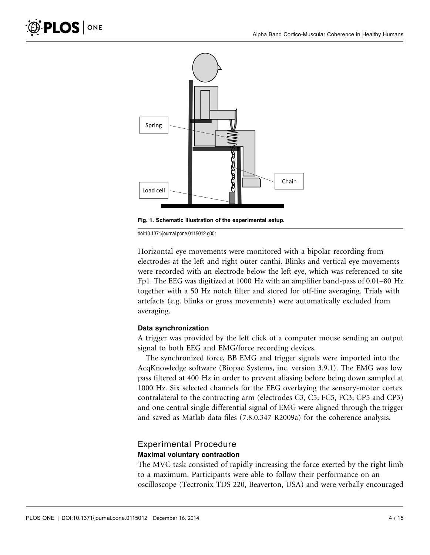

Fig. 1. Schematic illustration of the experimental setup.

Horizontal eye movements were monitored with a bipolar recording from electrodes at the left and right outer canthi. Blinks and vertical eye movements were recorded with an electrode below the left eye, which was referenced to site Fp1. The EEG was digitized at 1000 Hz with an amplifier band-pass of 0.01–80 Hz together with a 50 Hz notch filter and stored for off-line averaging. Trials with artefacts (e.g. blinks or gross movements) were automatically excluded from averaging.

#### Data synchronization

A trigger was provided by the left click of a computer mouse sending an output signal to both EEG and EMG/force recording devices.

The synchronized force, BB EMG and trigger signals were imported into the AcqKnowledge software (Biopac Systems, inc. version 3.9.1). The EMG was low pass filtered at 400 Hz in order to prevent aliasing before being down sampled at 1000 Hz. Six selected channels for the EEG overlaying the sensory-motor cortex contralateral to the contracting arm (electrodes C3, C5, FC5, FC3, CP5 and CP3) and one central single differential signal of EMG were aligned through the trigger and saved as Matlab data files (7.8.0.347 R2009a) for the coherence analysis.

#### Experimental Procedure Maximal voluntary contraction

The MVC task consisted of rapidly increasing the force exerted by the right limb to a maximum. Participants were able to follow their performance on an oscilloscope (Tectronix TDS 220, Beaverton, USA) and were verbally encouraged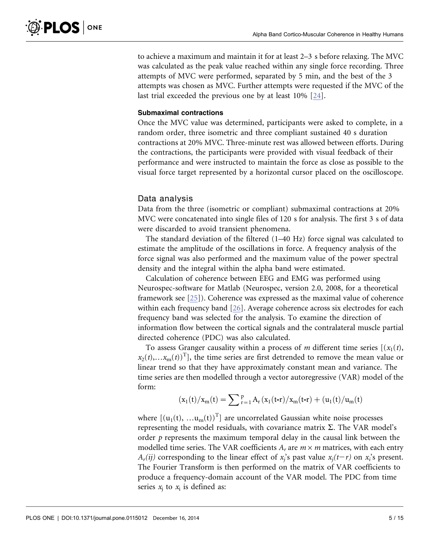to achieve a maximum and maintain it for at least 2–3 s before relaxing. The MVC was calculated as the peak value reached within any single force recording. Three attempts of MVC were performed, separated by 5 min, and the best of the 3 attempts was chosen as MVC. Further attempts were requested if the MVC of the last trial exceeded the previous one by at least 10% [24].

#### Submaximal contractions

Once the MVC value was determined, participants were asked to complete, in a random order, three isometric and three compliant sustained 40 s duration contractions at 20% MVC. Three-minute rest was allowed between efforts. During the contractions, the participants were provided with visual feedback of their performance and were instructed to maintain the force as close as possible to the visual force target represented by a horizontal cursor placed on the oscilloscope.

#### Data analysis

Data from the three (isometric or compliant) submaximal contractions at 20% MVC were concatenated into single files of 120 s for analysis. The first 3 s of data were discarded to avoid transient phenomena.

The standard deviation of the filtered (1–40 Hz) force signal was calculated to estimate the amplitude of the oscillations in force. A frequency analysis of the force signal was also performed and the maximum value of the power spectral density and the integral within the alpha band were estimated.

Calculation of coherence between EEG and EMG was performed using Neurospec-software for Matlab (Neurospec, version 2.0, 2008, for a theoretical framework see [25]). Coherence was expressed as the maximal value of coherence within each frequency band [26]. Average coherence across six electrodes for each frequency band was selected for the analysis. To examine the direction of information flow between the cortical signals and the contralateral muscle partial directed coherence (PDC) was also calculated.

To assess Granger causality within a process of m different time series  $[(x_1(t),$  $x_2(t),...x_m(t)$ <sup>T</sup>], the time series are first detrended to remove the mean value or linear trend so that they have approximately constant mean and variance. The time series are then modelled through a vector autoregressive (VAR) model of the form:

$$
(x_1(t)/x_m(t)=\sum{}_{r=1}^pA_r\,(x_1(t\text{-}r)/x_m(t\text{-}r)+(u_1(t)/u_m(t)
$$

where  $[(u_1(t), ... u_m(t))^T]$  are uncorrelated Gaussian white noise processes representing the model residuals, with covariance matrix  $\Sigma$ . The VAR model's order  $p$  represents the maximum temporal delay in the causal link between the modelled time series. The VAR coefficients  $A_r$  are  $m \times m$  matrices, with each entry  $A_r(ij)$  corresponding to the linear effect of  $x_j$ 's past value  $x_j(t-r)$  on  $x_i$ 's present. The Fourier Transform is then performed on the matrix of VAR coefficients to produce a frequency-domain account of the VAR model. The PDC from time series  $x_i$  to  $x_i$  is defined as: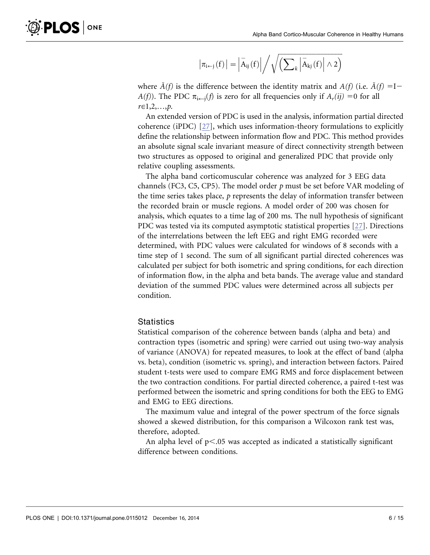$$
\left|\pi_{i \leftarrow j}\left(f\right)\right|=\left|\overset{-}{A}_{ij}\left(f\right)\right|\Big/\sqrt{\left(\sum\nolimits_k\left|\overset{-}{A}_{kj}\left(f\right)\right|\wedge 2\right)}
$$

where  $\bar{A}(f)$  is the difference between the identity matrix and  $A(f)$  (i.e.  $\bar{A}(f) = I$  $A(f)$ ). The PDC  $\pi_{i \leftarrow j}(f)$  is zero for all frequencies only if  $A_r(ij) = 0$  for all  $r \in 1, 2, ..., p.$ 

An extended version of PDC is used in the analysis, information partial directed coherence (iPDC) [27], which uses information-theory formulations to explicitly define the relationship between information flow and PDC. This method provides an absolute signal scale invariant measure of direct connectivity strength between two structures as opposed to original and generalized PDC that provide only relative coupling assessments.

The alpha band corticomuscular coherence was analyzed for 3 EEG data channels (FC3, C5, CP5). The model order  $p$  must be set before VAR modeling of the time series takes place,  $p$  represents the delay of information transfer between the recorded brain or muscle regions. A model order of 200 was chosen for analysis, which equates to a time lag of 200 ms. The null hypothesis of significant PDC was tested via its computed asymptotic statistical properties [27]. Directions of the interrelations between the left EEG and right EMG recorded were determined, with PDC values were calculated for windows of 8 seconds with a time step of 1 second. The sum of all significant partial directed coherences was calculated per subject for both isometric and spring conditions, for each direction of information flow, in the alpha and beta bands. The average value and standard deviation of the summed PDC values were determined across all subjects per condition.

#### **Statistics**

Statistical comparison of the coherence between bands (alpha and beta) and contraction types (isometric and spring) were carried out using two-way analysis of variance (ANOVA) for repeated measures, to look at the effect of band (alpha vs. beta), condition (isometric vs. spring), and interaction between factors. Paired student t-tests were used to compare EMG RMS and force displacement between the two contraction conditions. For partial directed coherence, a paired t-test was performed between the isometric and spring conditions for both the EEG to EMG and EMG to EEG directions.

The maximum value and integral of the power spectrum of the force signals showed a skewed distribution, for this comparison a Wilcoxon rank test was, therefore, adopted.

An alpha level of  $p<.05$  was accepted as indicated a statistically significant difference between conditions.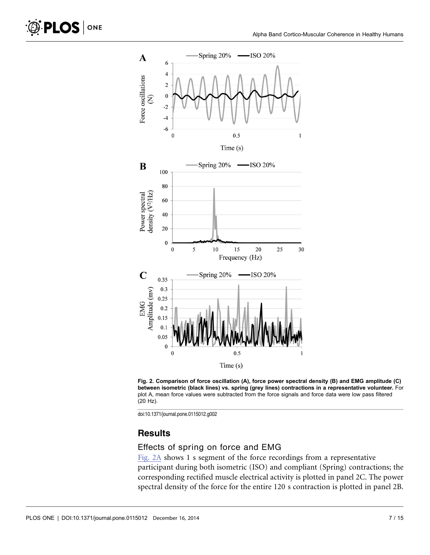





#### **Results**

#### Effects of spring on force and EMG

Fig. 2A shows 1 s segment of the force recordings from a representative participant during both isometric (ISO) and compliant (Spring) contractions; the corresponding rectified muscle electrical activity is plotted in panel 2C. The power spectral density of the force for the entire 120 s contraction is plotted in panel 2B.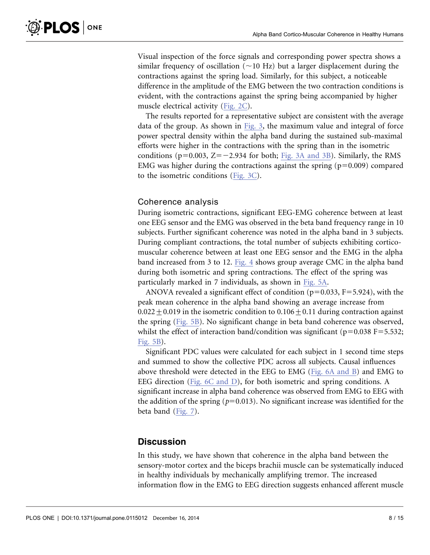Visual inspection of the force signals and corresponding power spectra shows a similar frequency of oscillation ( $\sim$ 10 Hz) but a larger displacement during the contractions against the spring load. Similarly, for this subject, a noticeable difference in the amplitude of the EMG between the two contraction conditions is evident, with the contractions against the spring being accompanied by higher muscle electrical activity (Fig. 2C).

The results reported for a representative subject are consistent with the average data of the group. As shown in Fig. 3, the maximum value and integral of force power spectral density within the alpha band during the sustained sub-maximal efforts were higher in the contractions with the spring than in the isometric conditions ( $p=0.003$ ,  $Z=-2.934$  for both; Fig. 3A and 3B). Similarly, the RMS EMG was higher during the contractions against the spring  $(p=0.009)$  compared to the isometric conditions (Fig. 3C).

#### Coherence analysis

During isometric contractions, significant EEG-EMG coherence between at least one EEG sensor and the EMG was observed in the beta band frequency range in 10 subjects. Further significant coherence was noted in the alpha band in 3 subjects. During compliant contractions, the total number of subjects exhibiting corticomuscular coherence between at least one EEG sensor and the EMG in the alpha band increased from 3 to 12. Fig. 4 shows group average CMC in the alpha band during both isometric and spring contractions. The effect of the spring was particularly marked in 7 individuals, as shown in Fig. 5A.

ANOVA revealed a significant effect of condition ( $p=0.033$ ,  $F=5.924$ ), with the peak mean coherence in the alpha band showing an average increase from  $0.022 + 0.019$  in the isometric condition to  $0.106 + 0.11$  during contraction against the spring (Fig. 5B). No significant change in beta band coherence was observed, whilst the effect of interaction band/condition was significant ( $p=0.038$  F=5.532; Fig. 5B).

Significant PDC values were calculated for each subject in 1 second time steps and summed to show the collective PDC across all subjects. Causal influences above threshold were detected in the EEG to EMG (Fig. 6A and B) and EMG to EEG direction (Fig. 6C and D), for both isometric and spring conditions. A significant increase in alpha band coherence was observed from EMG to EEG with the addition of the spring ( $p=0.013$ ). No significant increase was identified for the beta band (Fig. 7).

#### **Discussion**

In this study, we have shown that coherence in the alpha band between the sensory-motor cortex and the biceps brachii muscle can be systematically induced in healthy individuals by mechanically amplifying tremor. The increased information flow in the EMG to EEG direction suggests enhanced afferent muscle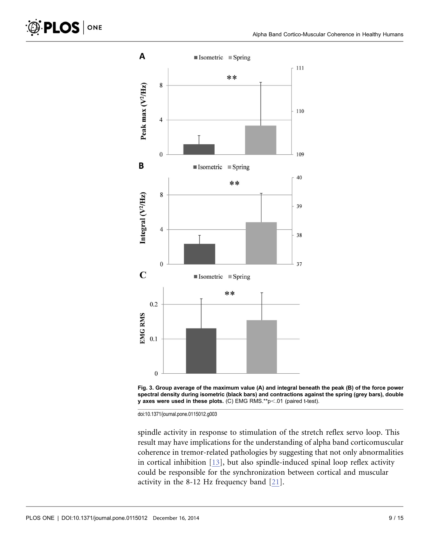



spindle activity in response to stimulation of the stretch reflex servo loop. This result may have implications for the understanding of alpha band corticomuscular coherence in tremor-related pathologies by suggesting that not only abnormalities in cortical inhibition [13], but also spindle-induced spinal loop reflex activity could be responsible for the synchronization between cortical and muscular activity in the 8-12 Hz frequency band [21].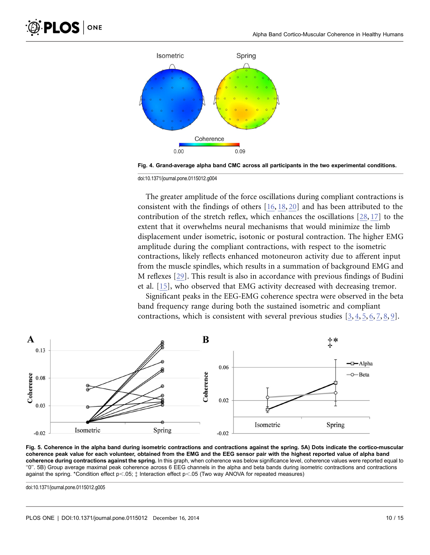

Fig. 4. Grand-average alpha band CMC across all participants in the two experimental conditions.

The greater amplitude of the force oscillations during compliant contractions is consistent with the findings of others [16, 18, 20] and has been attributed to the contribution of the stretch reflex, which enhances the oscillations [28, 17] to the extent that it overwhelms neural mechanisms that would minimize the limb displacement under isometric, isotonic or postural contraction. The higher EMG amplitude during the compliant contractions, with respect to the isometric contractions, likely reflects enhanced motoneuron activity due to afferent input from the muscle spindles, which results in a summation of background EMG and M reflexes [29]. This result is also in accordance with previous findings of Budini et al. [15], who observed that EMG activity decreased with decreasing tremor.

Significant peaks in the EEG-EMG coherence spectra were observed in the beta band frequency range during both the sustained isometric and compliant contractions, which is consistent with several previous studies [3, 4, 5, 6, 7, 8, 9].



Fig. 5. Coherence in the alpha band during isometric contractions and contractions against the spring. 5A) Dots indicate the cortico-muscular coherence peak value for each volunteer, obtained from the EMG and the EEG sensor pair with the highest reported value of alpha band coherence during contractions against the spring. In this graph, when coherence was below significance level, coherence values were reported equal to ''0''. 5B) Group average maximal peak coherence across 6 EEG channels in the alpha and beta bands during isometric contractions and contractions against the spring. \*Condition effect  $p<.05$ ;  $\ddagger$  Interaction effect  $p<.05$  (Two way ANOVA for repeated measures)

doi:10.1371/journal.pone.0115012.g005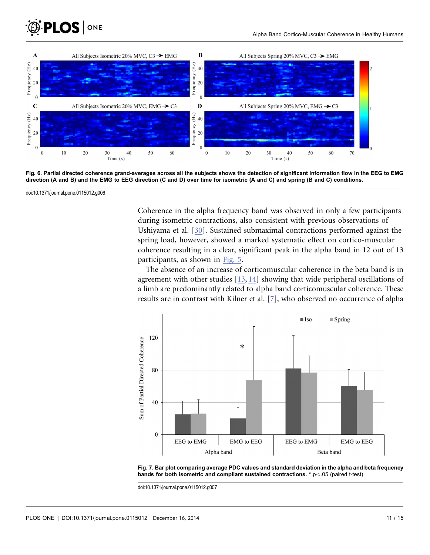



Fig. 6. Partial directed coherence grand-averages across all the subjects shows the detection of significant information flow in the EEG to EMG direction (A and B) and the EMG to EEG direction (C and D) over time for isometric (A and C) and spring (B and C) conditions.

Coherence in the alpha frequency band was observed in only a few participants during isometric contractions, also consistent with previous observations of Ushiyama et al. [30]. Sustained submaximal contractions performed against the spring load, however, showed a marked systematic effect on cortico-muscular coherence resulting in a clear, significant peak in the alpha band in 12 out of 13 participants, as shown in Fig. 5.

The absence of an increase of corticomuscular coherence in the beta band is in agreement with other studies [13, 14] showing that wide peripheral oscillations of a limb are predominantly related to alpha band corticomuscular coherence. These results are in contrast with Kilner et al. [7], who observed no occurrence of alpha



Fig. 7. Bar plot comparing average PDC values and standard deviation in the alpha and beta frequency bands for both isometric and compliant sustained contractions.  $* p < 05$  (paired t-test)

doi:10.1371/journal.pone.0115012.g007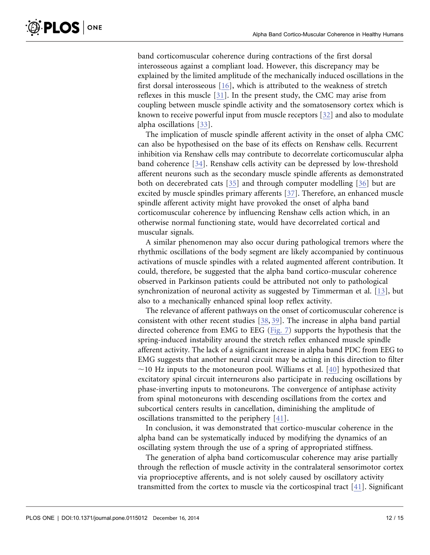band corticomuscular coherence during contractions of the first dorsal interosseous against a compliant load. However, this discrepancy may be explained by the limited amplitude of the mechanically induced oscillations in the first dorsal interosseous [16], which is attributed to the weakness of stretch reflexes in this muscle [31]. In the present study, the CMC may arise from coupling between muscle spindle activity and the somatosensory cortex which is known to receive powerful input from muscle receptors [32] and also to modulate alpha oscillations [33].

The implication of muscle spindle afferent activity in the onset of alpha CMC can also be hypothesised on the base of its effects on Renshaw cells. Recurrent inhibition via Renshaw cells may contribute to decorrelate corticomuscular alpha band coherence [34]. Renshaw cells activity can be depressed by low-threshold afferent neurons such as the secondary muscle spindle afferents as demonstrated both on decerebrated cats [35] and through computer modelling [36] but are excited by muscle spindles primary afferents [37]. Therefore, an enhanced muscle spindle afferent activity might have provoked the onset of alpha band corticomuscular coherence by influencing Renshaw cells action which, in an otherwise normal functioning state, would have decorrelated cortical and muscular signals.

A similar phenomenon may also occur during pathological tremors where the rhythmic oscillations of the body segment are likely accompanied by continuous activations of muscle spindles with a related augmented afferent contribution. It could, therefore, be suggested that the alpha band cortico-muscular coherence observed in Parkinson patients could be attributed not only to pathological synchronization of neuronal activity as suggested by Timmerman et al. [13], but also to a mechanically enhanced spinal loop reflex activity.

The relevance of afferent pathways on the onset of corticomuscular coherence is consistent with other recent studies [38, 39]. The increase in alpha band partial directed coherence from EMG to EEG (Fig. 7) supports the hypothesis that the spring-induced instability around the stretch reflex enhanced muscle spindle afferent activity. The lack of a significant increase in alpha band PDC from EEG to EMG suggests that another neural circuit may be acting in this direction to filter  $\sim$ 10 Hz inputs to the motoneuron pool. Williams et al. [40] hypothesized that excitatory spinal circuit interneurons also participate in reducing oscillations by phase-inverting inputs to motoneurons. The convergence of antiphase activity from spinal motoneurons with descending oscillations from the cortex and subcortical centers results in cancellation, diminishing the amplitude of oscillations transmitted to the periphery [41].

In conclusion, it was demonstrated that cortico-muscular coherence in the alpha band can be systematically induced by modifying the dynamics of an oscillating system through the use of a spring of appropriated stiffness.

The generation of alpha band corticomuscular coherence may arise partially through the reflection of muscle activity in the contralateral sensorimotor cortex via proprioceptive afferents, and is not solely caused by oscillatory activity transmitted from the cortex to muscle via the corticospinal tract [41]. Significant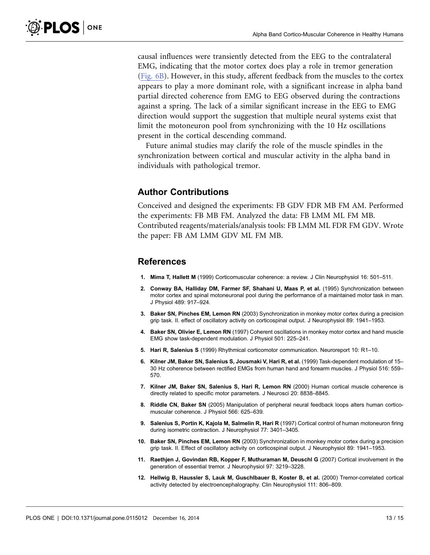causal influences were transiently detected from the EEG to the contralateral EMG, indicating that the motor cortex does play a role in tremor generation (Fig. 6B). However, in this study, afferent feedback from the muscles to the cortex appears to play a more dominant role, with a significant increase in alpha band partial directed coherence from EMG to EEG observed during the contractions against a spring. The lack of a similar significant increase in the EEG to EMG direction would support the suggestion that multiple neural systems exist that limit the motoneuron pool from synchronizing with the 10 Hz oscillations present in the cortical descending command.

Future animal studies may clarify the role of the muscle spindles in the synchronization between cortical and muscular activity in the alpha band in individuals with pathological tremor.

#### Author Contributions

Conceived and designed the experiments: FB GDV FDR MB FM AM. Performed the experiments: FB MB FM. Analyzed the data: FB LMM ML FM MB. Contributed reagents/materials/analysis tools: FB LMM ML FDR FM GDV. Wrote the paper: FB AM LMM GDV ML FM MB.

#### References

- 1. Mima T, Hallett M (1999) Corticomuscular coherence: a review. J Clin Neurophysiol 16: 501–511.
- 2. Conway BA, Halliday DM, Farmer SF, Shahani U, Maas P, et al. (1995) Synchronization between motor cortex and spinal motoneuronal pool during the performance of a maintained motor task in man. J Physiol 489: 917–924.
- 3. Baker SN, Pinches EM, Lemon RN (2003) Synchronization in monkey motor cortex during a precision grip task. II. effect of oscillatory activity on corticospinal output. J Neurophysiol 89: 1941–1953.
- 4. Baker SN, Olivier E, Lemon RN (1997) Coherent oscillations in monkey motor cortex and hand muscle EMG show task-dependent modulation. J Physiol 501: 225–241.
- 5. Hari R, Salenius S (1999) Rhythmical corticomotor communication. Neuroreport 10: R1–10.
- 6. Kilner JM, Baker SN, Salenius S, Jousmaki V, Hari R, et al. (1999) Task-dependent modulation of 15– 30 Hz coherence between rectified EMGs from human hand and forearm muscles. J Physiol 516: 559– 570.
- 7. Kilner JM, Baker SN, Salenius S, Hari R, Lemon RN (2000) Human cortical muscle coherence is directly related to specific motor parameters. J Neurosci 20: 8838–8845.
- 8. Riddle CN, Baker SN (2005) Manipulation of peripheral neural feedback loops alters human corticomuscular coherence. J Physiol 566: 625–639.
- 9. Salenius S, Portin K, Kajola M, Salmelin R, Hari R (1997) Cortical control of human motoneuron firing during isometric contraction. J Neurophysiol 77: 3401–3405.
- 10. Baker SN, Pinches EM, Lemon RN (2003) Synchronization in monkey motor cortex during a precision grip task. II. Effect of oscillatory activity on corticospinal output. J Neurophysiol 89: 1941–1953.
- 11. Raethjen J, Govindan RB, Kopper F, Muthuraman M, Deuschl G (2007) Cortical involvement in the generation of essential tremor. J Neurophysiol 97: 3219–3228.
- 12. Hellwig B, Haussler S, Lauk M, Guschlbauer B, Koster B, et al. (2000) Tremor-correlated cortical activity detected by electroencephalography. Clin Neurophysiol 111: 806–809.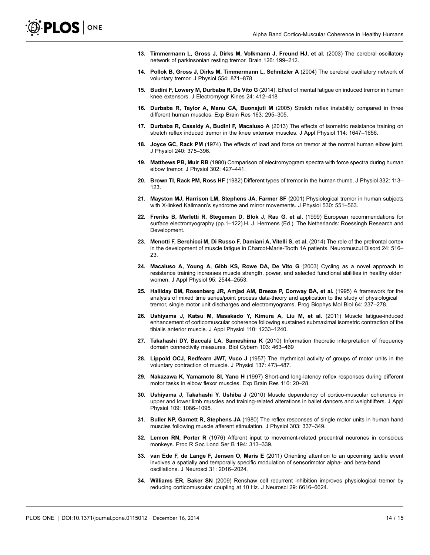- 13. Timmermann L, Gross J, Dirks M, Volkmann J, Freund HJ, et al. (2003) The cerebral oscillatory network of parkinsonian resting tremor. Brain 126: 199–212.
- 14. Pollok B, Gross J, Dirks M, Timmermann L, Schnitzler A (2004) The cerebral oscillatory network of voluntary tremor. J Physiol 554: 871–878.
- 15. Budini F, Lowery M, Durbaba R, De Vito G (2014). Effect of mental fatigue on induced tremor in human knee extensors. J Electromyogr Kines 24: 412–418
- 16. Durbaba R, Taylor A, Manu CA, Buonajuti M (2005) Stretch reflex instability compared in three different human muscles. Exp Brain Res 163: 295–305.
- 17. Durbaba R, Cassidy A, Budini F, Macaluso A (2013) The effects of isometric resistance training on stretch reflex induced tremor in the knee extensor muscles. J Appl Physiol 114: 1647–1656.
- 18. Joyce GC, Rack PM (1974) The effects of load and force on tremor at the normal human elbow joint. J Physiol 240: 375–396.
- 19. Matthews PB, Muir RB (1980) Comparison of electromyogram spectra with force spectra during human elbow tremor. J Physiol 302: 427–441.
- 20. Brown TI, Rack PM, Ross HF (1982) Different types of tremor in the human thumb. J Physiol 332: 113– 123.
- 21. Mayston MJ, Harrison LM, Stephens JA, Farmer SF (2001) Physiological tremor in human subjects with X-linked Kallmann's syndrome and mirror movements. J Physiol 530: 551–563.
- 22. Freriks B, Merletti R, Stegeman D, Blok J, Rau G, et al. (1999) European recommendations for surface electromyography (pp.1-122).H. J. Hermens (Ed.). The Netherlands: Roessingh Research and Development.
- 23. Menotti F, Berchicci M, Di Russo F, Damiani A, Vitelli S, et al. (2014) The role of the prefrontal cortex in the development of muscle fatigue in Charcot-Marie-Tooth 1A patients. Neuromuscul Disord 24: 516– 23.
- 24. Macaluso A, Young A, Gibb KS, Rowe DA, De Vito G (2003) Cycling as a novel approach to resistance training increases muscle strength, power, and selected functional abilities in healthy older women. J Appl Physiol 95: 2544–2553.
- 25. Halliday DM, Rosenberg JR, Amjad AM, Breeze P, Conway BA, et al. (1995) A framework for the analysis of mixed time series/point process data-theory and application to the study of physiological tremor, single motor unit discharges and electromyograms. Prog Biophys Mol Biol 64: 237–278.
- 26. Ushiyama J, Katsu M, Masakado Y, Kimura A, Liu M, et al. (2011) Muscle fatigue-induced enhancement of corticomuscular coherence following sustained submaximal isometric contraction of the tibialis anterior muscle. J Appl Physiol 110: 1233–1240.
- 27. Takahashi DY, Baccalá LA, Sameshima K (2010) Information theoretic interpretation of frequency domain connectivity measures. Biol Cybern 103: 463–469
- 28. Lippold OCJ, Redfearn JWT, Vuco J (1957) The rhythmical activity of groups of motor units in the voluntary contraction of muscle. J Physiol 137: 473–487.
- 29. Nakazawa K, Yamamoto SI, Yano H (1997) Short-and long-latency reflex responses during different motor tasks in elbow flexor muscles. Exp Brain Res 116: 20–28.
- 30. Ushiyama J, Takahashi Y, Ushiba J (2010) Muscle dependency of cortico-muscular coherence in upper and lower limb muscles and training-related alterations in ballet dancers and weightlifters. J Appl Physiol 109: 1086–1095.
- 31. Buller NP, Garnett R, Stephens JA (1980) The reflex responses of single motor units in human hand muscles following muscle afferent stimulation. J Physiol 303: 337–349.
- 32. Lemon RN, Porter R (1976) Afferent input to movement-related precentral neurones in conscious monkeys. Proc R Soc Lond Ser B 194: 313–339.
- 33. van Ede F, de Lange F, Jensen O, Maris E (2011) Orienting attention to an upcoming tactile event involves a spatially and temporally specific modulation of sensorimotor alpha- and beta-band oscillations. J Neurosci 31: 2016–2024.
- 34. Williams ER, Baker SN (2009) Renshaw cell recurrent inhibition improves physiological tremor by reducing corticomuscular coupling at 10 Hz. J Neurosci 29: 6616–6624.